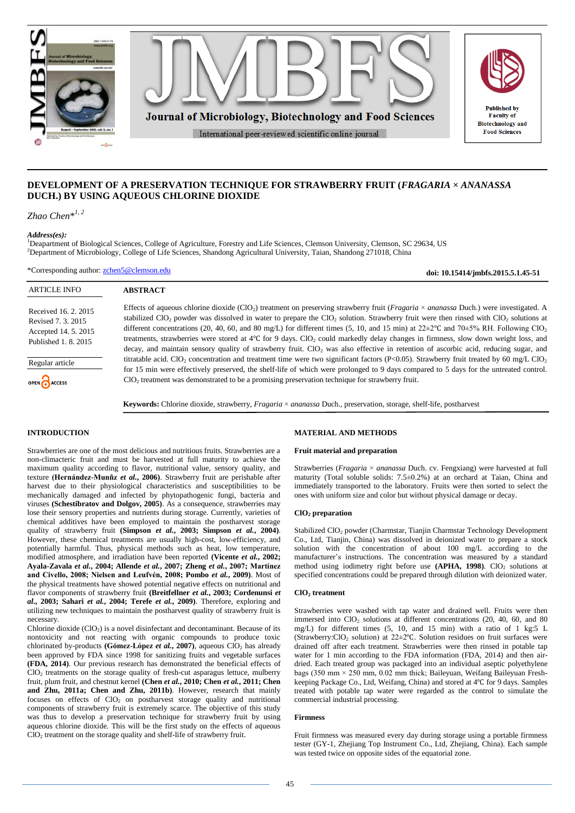

# **DEVELOPMENT OF A PRESERVATION TECHNIQUE FOR STRAWBERRY FRUIT (***FRAGARIA* **×** *ANANASSA* **DUCH.) BY USING AQUEOUS CHLORINE DIOXIDE**

*Zhao Chen*\* *1, 2*

*Address(es):*

<sup>1</sup>Deapartment of Biological Sciences, College of Agriculture, Forestry and Life Sciences, Clemson University, Clemson, SC 29634, US <sup>2</sup>Department of Microbiology, College of Life Sciences, Shandong Agricultural University, Taian, Shandong 271018, China

\*Corresponding author: [zchen5@clemson.edu](mailto:zchen5@clemson.edu)

ARTICLE INFO **ABSTRACT** Effects of aqueous chlorine dioxide (ClO2) treatment on preserving strawberry fruit (*Fragaria* × *ananassa* Duch.) were investigated. A Received 16. 2. 2015 stabilized ClO<sub>2</sub> powder was dissolved in water to prepare the ClO<sub>2</sub> solution. Strawberry fruit were then rinsed with ClO<sub>2</sub> solutions at Revised 7. 3. 2015 different concentrations (20, 40, 60, and 80 mg/L) for different times (5, 10, and 15 min) at  $22\pm2^{\circ}C$  and  $70\pm5\%$  RH. Following ClO<sub>2</sub> Accepted 14. 5. 2015 treatments, strawberries were stored at 4℃ for 9 days. ClO<sub>2</sub> could markedly delay changes in firmness, slow down weight loss, and Published 1. 8. 2015 decay, and maintain sensory quality of strawberry fruit. ClO<sub>2</sub> was also effective in retention of ascorbic acid, reducing sugar, and titratable acid. ClO<sub>2</sub> concentration and treatment time were two significant factors (P<0.05). Strawberry fruit treated by 60 mg/L ClO<sub>2</sub> Regular article for 15 min were effectively preserved, the shelf-life of which were prolonged to 9 days compared to 5 days for the untreated control. ClO<sub>2</sub> treatment was demonstrated to be a promising preservation technique for strawberry fruit. OPEN CACCESS

**Keywords:** Chlorine dioxide, strawberry, *Fragaria* × *ananassa* Duch., preservation, storage, shelf-life, postharvest

## **INTRODUCTION**

Strawberries are one of the most delicious and nutritious fruits. Strawberries are a non-climacteric fruit and must be harvested at full maturity to achieve the maximum quality according to flavor, nutritional value, sensory quality, and texture **(Hernández-Munñz** *et al.***, 2006)**. Strawberry fruit are perishable after harvest due to their physiological characteristics and susceptibilities to be mechanically damaged and infected by phytopathogenic fungi, bacteria and viruses **(Schestibratov and Dolgov, 2005)**. As a consequence, strawberries may lose their sensory properties and nutrients during storage. Currently, varieties of chemical additives have been employed to maintain the postharvest storage quality of strawberry fruit **(Simpson** *et al.***, 2003; Simpson** *et al.***, 2004)**. However, these chemical treatments are usually high-cost, low-efficiency, and potentially harmful. Thus, physical methods such as heat, low temperature, modified atmosphere, and irradiation have been reported **(Vicente** *et al.***, 2002; Ayala-Zavala** *et al.***, 2004; Allende** *et al.***, 2007; Zheng** *et al.***, 2007; Martínez and Civello, 2008; Nielsen and Leufvén, 2008; Pombo** *et al.***, 2009)**. Most of the physical treatments have showed potential negative effects on nutritional and flavor components of strawberry fruit **(Breitfellner** *et al.***, 2003; Cordenunsi** *et al.***, 2003; Sahari** *et al.***, 2004; Terefe** *et al.***, 2009)**. Therefore, exploring and utilizing new techniques to maintain the postharvest quality of strawberry fruit is necessary.

Chlorine dioxide  $(CIO<sub>2</sub>)$  is a novel disinfectant and decontaminant. Because of its nontoxicity and not reacting with organic compounds to produce toxic chlorinated by-products **(Gómez-López** *et al.***, 2007)**, aqueous  $\overline{CIO_2}$  has already been approved by FDA since 1998 for sanitizing fruits and vegetable surfaces **(FDA, 2014)**. Our previous research has demonstrated the beneficial effects of  $ClO<sub>2</sub>$  treatments on the storage quality of fresh-cut asparagus lettuce, mulberry fruit, plum fruit, and chestnut kernel **(Chen** *et al.***, 2010; Chen** *et al.***, 2011; Chen and Zhu, 2011a; Chen and Zhu, 2011b)**. However, research that mainly focuses on effects of ClO<sub>2</sub> on postharvest storage quality and nutritional components of strawberry fruit is extremely scarce. The objective of this study was thus to develop a preservation technique for strawberry fruit by using aqueous chlorine dioxide. This will be the first study on the effects of aqueous  $CIO<sub>2</sub>$  treatment on the storage quality and shelf-life of strawberry fruit.

### **MATERIAL AND METHODS**

### **Fruit material and preparation**

Strawberries (*Fragaria* × *ananassa* Duch. cv. Fengxiang) were harvested at full maturity (Total soluble solids: 7.5±0.2%) at an orchard at Taian, China and immediately transported to the laboratory. Fruits were then sorted to select the ones with uniform size and color but without physical damage or decay.

**doi: 10.15414/jmbfs.2015.5.1.45-51**

### **ClO<sup>2</sup> preparation**

Stabilized ClO<sub>2</sub> powder (Charmstar, Tianjin Charmstar Technology Development Co., Ltd, Tianjin, China) was dissolved in deionized water to prepare a stock solution with the concentration of about 100 mg/L according to the manufacturer's instructions. The concentration was measured by a standard method using iodimetry right before use  $(APHA, 1998)$ . ClO<sub>2</sub> solutions at specified concentrations could be prepared through dilution with deionized water.

#### **ClO<sup>2</sup> treatment**

Strawberries were washed with tap water and drained well. Fruits were then immersed into  $ClO<sub>2</sub>$  solutions at different concentrations (20, 40, 60, and 80 mg/L) for different times (5, 10, and 15 min) with a ratio of 1 kg:5 L (Strawberry:ClO<sub>2</sub> solution) at  $22\pm2$ °C. Solution residues on fruit surfaces were drained off after each treatment. Strawberries were then rinsed in potable tap water for 1 min according to the FDA information (FDA, 2014) and then airdried. Each treated group was packaged into an individual aseptic polyethylene bags (350 mm  $\times$  250 mm, 0.02 mm thick; Baileyuan, Weifang Baileyuan Freshkeeping Package Co., Ltd, Weifang, China) and stored at 4℃ for 9 days. Samples treated with potable tap water were regarded as the control to simulate the commercial industrial processing.

### **Firmness**

Fruit firmness was measured every day during storage using a portable firmness tester (GY-1, Zhejiang Top Instrument Co., Ltd, Zhejiang, China). Each sample was tested twice on opposite sides of the equatorial zone.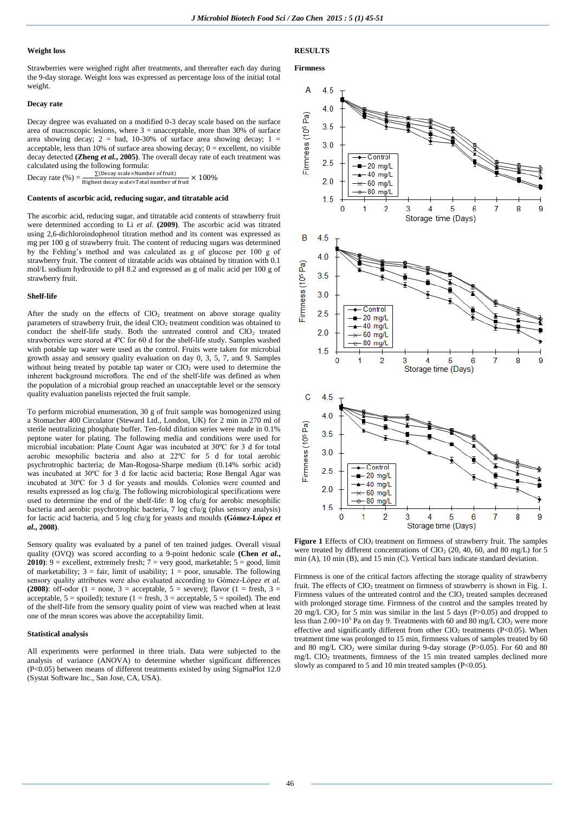### **Weight loss**

Strawberries were weighed right after treatments, and thereafter each day during the 9-day storage. Weight loss was expressed as percentage loss of the initial total weight.

### **Decay rate**

Decay degree was evaluated on a modified 0-3 decay scale based on the surface area of macroscopic lesions, where  $3 =$  unacceptable, more than 30% of surface area showing decay;  $2 = bad$ , 10-30% of surface area showing decay;  $1 =$ acceptable, less than 10% of surface area showing decay;  $0 =$  excellent, no visible decay detected **(Zheng** *et al.***, 2005)**. The overall decay rate of each treatment was calculated using the following formula:

Decay rate  $(\%) = \frac{\triangle(\text{decay scale} \times \text{Volume})}{\text{Higher decay scale} \times \text{Total number of fruit}}$ ∑(Decay scale×Number of fruit) × 100%

#### **Contents of ascorbic acid, reducing sugar, and titratable acid**

The ascorbic acid, reducing sugar, and titratable acid contents of strawberry fruit were determined according to Li *et al.* **(2009)**. The ascorbic acid was titrated using 2,6-dichloroindophenol titration method and its content was expressed as mg per 100 g of strawberry fruit. The content of reducing sugars was determined by the Fehling's method and was calculated as g of glucose per 100 g of strawberry fruit. The content of titratable acids was obtained by titration with 0.1 mol/L sodium hydroxide to pH 8.2 and expressed as g of malic acid per 100 g of strawberry fruit.

#### **Shelf-life**

After the study on the effects of  $ClO<sub>2</sub>$  treatment on above storage quality parameters of strawberry fruit, the ideal ClO<sub>2</sub> treatment condition was obtained to conduct the shelf-life study. Both the untreated control and ClO<sub>2</sub> treated strawberries were stored at 4ºC for 60 d for the shelf-life study. Samples washed with potable tap water were used as the control. Fruits were taken for microbial growth assay and sensory quality evaluation on day 0, 3, 5, 7, and 9. Samples without being treated by potable tap water or  $ClO<sub>2</sub>$  were used to determine the inherent background microflora. The end of the shelf-life was defined as when the population of a microbial group reached an unacceptable level or the sensory quality evaluation panelists rejected the fruit sample.

To perform microbial enumeration, 30 g of fruit sample was homogenized using a Stomacher 400 Circulator (Steward Ltd., London, UK) for 2 min in 270 ml of sterile neutralizing phosphate buffer. Ten-fold dilution series were made in 0.1% peptone water for plating. The following media and conditions were used for microbial incubation: Plate Count Agar was incubated at 30ºC for 3 d for total aerobic mesophilic bacteria and also at 22ºC for 5 d for total aerobic psychrotrophic bacteria; de Man-Rogosa-Sharpe medium (0.14% sorbic acid) was incubated at 30ºC for 3 d for lactic acid bacteria; Rose Bengal Agar was incubated at 30ºC for 3 d for yeasts and moulds. Colonies were counted and results expressed as log cfu/g. The following microbiological specifications were used to determine the end of the shelf-life: 8 log cfu/g for aerobic mesophilic bacteria and aerobic psychrotrophic bacteria, 7 log cfu/g (plus sensory analysis) for lactic acid bacteria, and 5 log cfu/g for yeasts and moulds **(Gómez-López** *et al.***, 2008)**.

Sensory quality was evaluated by a panel of ten trained judges. Overall visual quality (OVQ) was scored according to a 9-point hedonic scale **(Chen** *et al.***, 2010**): 9 = excellent, extremely fresh;  $7 = \text{very good, marketable; } 5 = \text{good, limit}$ of marketability;  $3 = \text{fair}$ , limit of usability;  $1 = \text{poor}$ , unusable. The following sensory quality attributes were also evaluated according to Gómez-López *et al.* **(2008)**: off-odor (1 = none, 3 = acceptable, 5 = severe); flavor (1 = fresh, 3 = acceptable,  $5 =$  spoiled); texture (1 = fresh, 3 = acceptable, 5 = spoiled). The end of the shelf-life from the sensory quality point of view was reached when at least one of the mean scores was above the acceptability limit.

### **Statistical analysis**

All experiments were performed in three trials. Data were subjected to the analysis of variance (ANOVA) to determine whether significant differences (P<0.05) between means of different treatments existed by using SigmaPlot 12.0 (Systat Software Inc., San Jose, CA, USA).

### **RESULTS**

#### **Firmness**



Figure 1 Effects of ClO<sub>2</sub> treatment on firmness of strawberry fruit. The samples were treated by different concentrations of  $ClO<sub>2</sub>$  (20, 40, 60, and 80 mg/L) for 5 min (A), 10 min (B), and 15 min (C). Vertical bars indicate standard deviation.

Firmness is one of the critical factors affecting the storage quality of strawberry fruit. The effects of  $ClO<sub>2</sub>$  treatment on firmness of strawberry is shown in Fig. 1. Firmness values of the untreated control and the ClO<sub>2</sub> treated samples decreased with prolonged storage time. Firmness of the control and the samples treated by  $20 \text{ mg/L ClO}_2$  for 5 min was similar in the last 5 days (P>0.05) and dropped to less than  $2.00 \times 10^5$  Pa on day 9. Treatments with 60 and 80 mg/L ClO<sub>2</sub> were more effective and significantly different from other  $CIO<sub>2</sub>$  treatments (P<0.05). When treatment time was prolonged to 15 min, firmness values of samples treated by 60 and 80 mg/L  $ClO<sub>2</sub>$  were similar during 9-day storage (P>0.05). For 60 and 80 mg/L ClO<sub>2</sub> treatments, firmness of the 15 min treated samples declined more slowly as compared to 5 and 10 min treated samples (P<0.05).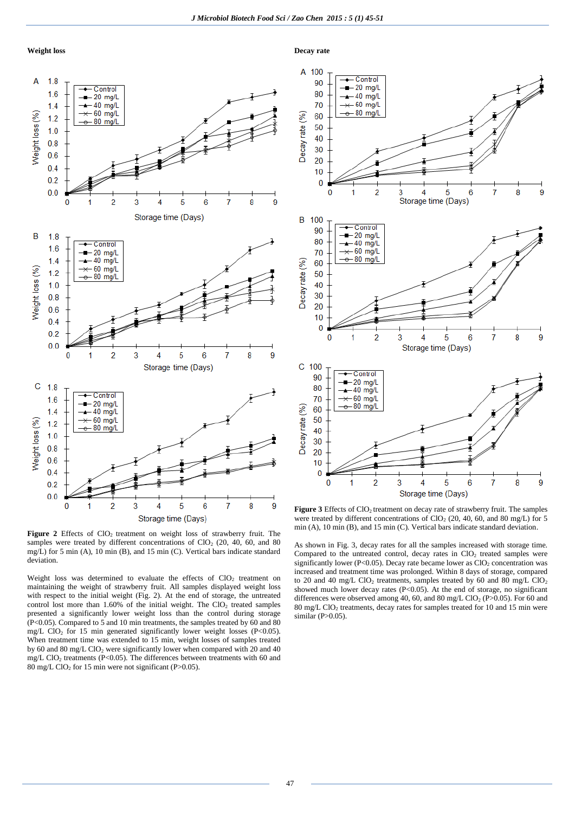

**Decay rate**



Figure 2 Effects of ClO<sub>2</sub> treatment on weight loss of strawberry fruit. The samples were treated by different concentrations of  $ClO<sub>2</sub>$  (20, 40, 60, and 80) mg/L) for 5 min (A), 10 min (B), and 15 min (C). Vertical bars indicate standard deviation.

Weight loss was determined to evaluate the effects of  $ClO<sub>2</sub>$  treatment on maintaining the weight of strawberry fruit. All samples displayed weight loss with respect to the initial weight (Fig. 2). At the end of storage, the untreated control lost more than  $1.60\%$  of the initial weight. The ClO<sub>2</sub> treated samples presented a significantly lower weight loss than the control during storage (P<0.05). Compared to 5 and 10 min treatments, the samples treated by 60 and 80 mg/L ClO<sub>2</sub> for 15 min generated significantly lower weight losses (P<0.05). When treatment time was extended to 15 min, weight losses of samples treated by 60 and 80 mg/L ClO<sub>2</sub> were significantly lower when compared with 20 and 40 mg/L ClO<sup>2</sup> treatments (P<0.05). The differences between treatments with 60 and  $80 \text{ mg/L ClO}_2$  for 15 min were not significant (P>0.05).



Figure 3 Effects of ClO<sub>2</sub> treatment on decay rate of strawberry fruit. The samples were treated by different concentrations of  $ClO<sub>2</sub>$  (20, 40, 60, and 80 mg/L) for 5 min (A), 10 min (B), and 15 min (C). Vertical bars indicate standard deviation.

As shown in Fig. 3, decay rates for all the samples increased with storage time. Compared to the untreated control, decay rates in  $ClO<sub>2</sub>$  treated samples were significantly lower (P<0.05). Decay rate became lower as  $ClO<sub>2</sub>$  concentration was increased and treatment time was prolonged. Within 8 days of storage, compared to 20 and 40 mg/L ClO<sub>2</sub> treatments, samples treated by 60 and 80 mg/L ClO<sub>2</sub> showed much lower decay rates  $(P<0.05)$ . At the end of storage, no significant differences were observed among 40, 60, and 80 mg/L ClO<sub>2</sub> (P $>$ 0.05). For 60 and 80 mg/L ClO<sub>2</sub> treatments, decay rates for samples treated for 10 and 15 min were similar  $(P>0.05)$ .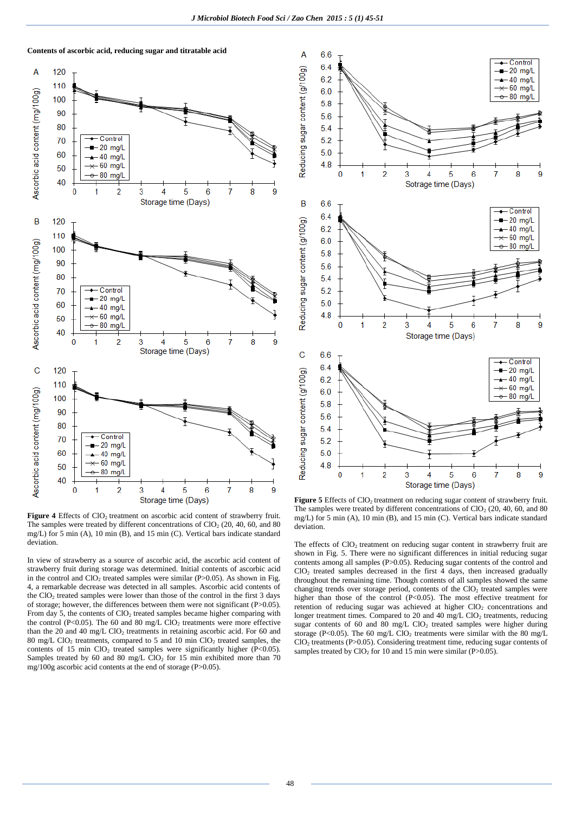



Figure 4 Effects of ClO<sub>2</sub> treatment on ascorbic acid content of strawberry fruit. The samples were treated by different concentrations of  $ClO<sub>2</sub>$  (20, 40, 60, and 80) mg/L) for 5 min (A), 10 min (B), and 15 min (C). Vertical bars indicate standard deviation.

In view of strawberry as a source of ascorbic acid, the ascorbic acid content of strawberry fruit during storage was determined. Initial contents of ascorbic acid in the control and  $ClO<sub>2</sub>$  treated samples were similar (P $>0.05$ ). As shown in Fig. 4, a remarkable decrease was detected in all samples. Ascorbic acid contents of the ClO<sub>2</sub> treated samples were lower than those of the control in the first 3 days of storage; however, the differences between them were not significant (P>0.05). From day 5, the contents of  $ClO<sub>2</sub>$  treated samples became higher comparing with the control (P<0.05). The 60 and 80 mg/L ClO<sub>2</sub> treatments were more effective than the 20 and 40 mg/L ClO<sub>2</sub> treatments in retaining ascorbic acid. For 60 and 80 mg/L ClO<sub>2</sub> treatments, compared to 5 and 10 min ClO<sub>2</sub> treated samples, the contents of 15 min  $ClO<sub>2</sub>$  treated samples were significantly higher (P<0.05). Samples treated by 60 and 80 mg/L  $ClO<sub>2</sub>$  for 15 min exhibited more than 70 mg/100g ascorbic acid contents at the end of storage (P>0.05).



Figure 5 Effects of ClO<sub>2</sub> treatment on reducing sugar content of strawberry fruit. The samples were treated by different concentrations of  $ClO<sub>2</sub>$  (20, 40, 60, and 80 mg/L) for 5 min (A), 10 min (B), and 15 min (C). Vertical bars indicate standard deviation.

The effects of ClO<sub>2</sub> treatment on reducing sugar content in strawberry fruit are shown in Fig. 5. There were no significant differences in initial reducing sugar contents among all samples (P>0.05). Reducing sugar contents of the control and ClO<sup>2</sup> treated samples decreased in the first 4 days, then increased gradually throughout the remaining time. Though contents of all samples showed the same changing trends over storage period, contents of the  $ClO<sub>2</sub>$  treated samples were higher than those of the control (P<0.05). The most effective treatment for retention of reducing sugar was achieved at higher ClO<sub>2</sub> concentrations and longer treatment times. Compared to 20 and 40 mg/L ClO<sub>2</sub> treatments, reducing sugar contents of 60 and 80 mg/L  $ClO<sub>2</sub>$  treated samples were higher during storage (P<0.05). The 60 mg/L ClO<sub>2</sub> treatments were similar with the 80 mg/L ClO<sup>2</sup> treatments (P>0.05). Considering treatment time, reducing sugar contents of samples treated by ClO<sub>2</sub> for 10 and 15 min were similar (P $> 0.05$ ).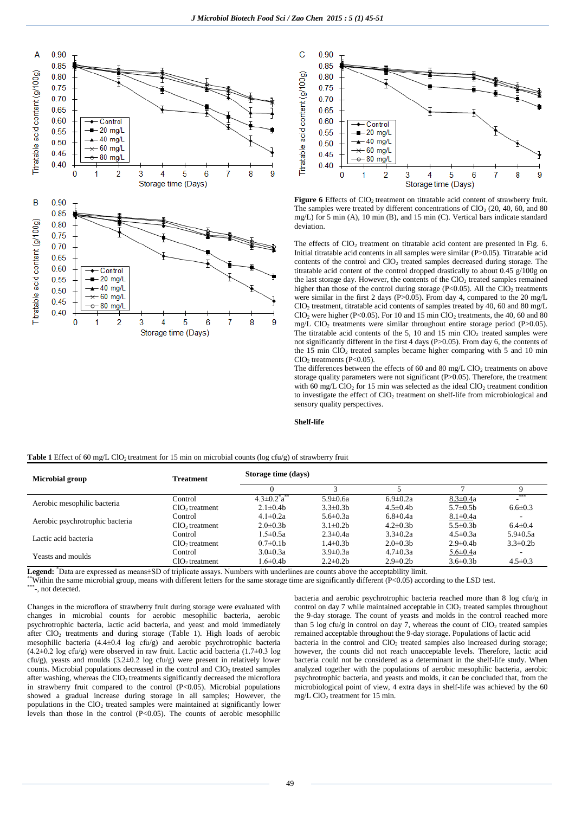



Figure 6 Effects of ClO<sub>2</sub> treatment on titratable acid content of strawberry fruit. The samples were treated by different concentrations of  $CIO<sub>2</sub>$  (20, 40, 60, and 80) mg/L) for 5 min (A), 10 min (B), and 15 min (C). Vertical bars indicate standard deviation.

The effects of  $ClO<sub>2</sub>$  treatment on titratable acid content are presented in Fig. 6. Initial titratable acid contents in all samples were similar (P>0.05). Titratable acid contents of the control and ClO<sub>2</sub> treated samples decreased during storage. The titratable acid content of the control dropped drastically to about  $0.45 \frac{g}{100g}$  on the last storage day. However, the contents of the  $ClO<sub>2</sub>$  treated samples remained higher than those of the control during storage (P<0.05). All the  $CIO<sub>2</sub>$  treatments were similar in the first 2 days (P>0.05). From day 4, compared to the 20 mg/L  $ClO<sub>2</sub>$  treatment, titratable acid contents of samples treated by 40, 60 and 80 mg/L ClO<sub>2</sub> were higher (P<0.05). For 10 and 15 min ClO<sub>2</sub> treatments, the 40, 60 and 80 mg/L ClO<sub>2</sub> treatments were similar throughout entire storage period (P $>0.05$ ). The titratable acid contents of the 5, 10 and 15 min  $ClO<sub>2</sub>$  treated samples were not significantly different in the first 4 days (P>0.05). From day 6, the contents of the 15 min ClO<sup>2</sup> treated samples became higher comparing with 5 and 10 min  $ClO<sub>2</sub>$  treatments (P<0.05).

The differences between the effects of 60 and 80 mg/L ClO<sub>2</sub> treatments on above storage quality parameters were not significant (P>0.05). Therefore, the treatment with 60 mg/L ClO<sub>2</sub> for 15 min was selected as the ideal ClO<sub>2</sub> treatment condition to investigate the effect of  $ClO<sub>2</sub>$  treatment on shelf-life from microbiological and sensory quality perspectives.

### **Shelf-life**

| <b>Table 1</b> Effect of 60 mg/L ClO <sub>2</sub> treatment for 15 min on microbial counts (log cfu/g) of strawberry fruit |  |  |
|----------------------------------------------------------------------------------------------------------------------------|--|--|
|----------------------------------------------------------------------------------------------------------------------------|--|--|

| <b>Microbial group</b>          | <b>Treatment</b> | Storage time (days)          |                 |                 |                 |                 |
|---------------------------------|------------------|------------------------------|-----------------|-----------------|-----------------|-----------------|
|                                 |                  |                              |                 |                 |                 |                 |
| Aerobic mesophilic bacteria     | Control          | $4.3 \pm 0.2^{\circ} a^{**}$ | $5.9 \pm 0.6a$  | $6.9 \pm 0.2a$  | $8.3 \pm 0.4a$  |                 |
|                                 | $ClO2$ treatment | $2.1 \pm 0.4$ h              | $3.3 \pm 0.3 b$ | $4.5 \pm 0.4$ h | $5.7 \pm 0.5$ b | $6.6 \pm 0.3$   |
| Aerobic psychrotrophic bacteria | Control          | $4.1 \pm 0.2a$               | $5.6 \pm 0.3a$  | $6.8 \pm 0.4a$  | $8.1 \pm 0.4a$  |                 |
|                                 | $ClO2$ treatment | $2.0\pm0.3b$                 | $3.1 \pm 0.2$ b | $4.2 \pm 0.3 b$ | $5.5 \pm 0.3 b$ | $6.4 \pm 0.4$   |
| Lactic acid bacteria            | Control          | $1.5 \pm 0.5a$               | $2.3 \pm 0.4a$  | $3.3 \pm 0.2a$  | $4.5 \pm 0.3a$  | $5.9 \pm 0.5a$  |
|                                 | $ClO2$ treatment | $0.7 \pm 0.1$ b              | 1.4±0.3b        | $2.0 \pm 0.3 b$ | $2.9 \pm 0.4 b$ | $3.3 \pm 0.2 b$ |
| Yeasts and moulds               | Control          | $3.0 \pm 0.3a$               | $3.9 \pm 0.3a$  | $4.7 \pm 0.3a$  | $5.6 \pm 0.4a$  |                 |
|                                 | $ClO2$ treatment | l.6 $\pm$ 0.4b               | $2.2 \pm 0.2 b$ | $2.9 \pm 0.2 b$ | $3.6 \pm 0.3 b$ | $4.5 \pm 0.3$   |

**Legend:** \*Data are expressed as means±SD of triplicate assays. Numbers with underlines are counts above the acceptability limit.

Within the same microbial group, means with different letters for the same storage time are significantly different  $(P<0.05)$  according to the LSD test.

\*\*\*-, not detected.

Changes in the microflora of strawberry fruit during storage were evaluated with changes in microbial counts for aerobic mesophilic bacteria, aerobic psychrotrophic bacteria, lactic acid bacteria, and yeast and mold immediately after  $CIO<sub>2</sub>$  treatments and during storage (Table 1). High loads of aerobic mesophilic bacteria  $(4.4\pm0.4 \text{ log } \text{cfu/g})$  and aerobic psychrotrophic bacteria  $(4.2\pm0.2 \text{ log cfu/s})$  were observed in raw fruit. Lactic acid bacteria  $(1.7\pm0.3 \text{ log of s})$ cfu/g), yeasts and moulds (3.2±0.2 log cfu/g) were present in relatively lower counts. Microbial populations decreased in the control and ClO<sub>2</sub> treated samples after washing, whereas the  $ClO<sub>2</sub>$  treatments significantly decreased the microflora in strawberry fruit compared to the control  $(P<0.05)$ . Microbial populations showed a gradual increase during storage in all samples; However, the populations in the  $ClO<sub>2</sub>$  treated samples were maintained at significantly lower levels than those in the control  $(P<0.05)$ . The counts of aerobic mesophilic bacteria and aerobic psychrotrophic bacteria reached more than 8 log cfu/g in control on day 7 while maintained acceptable in ClO<sub>2</sub> treated samples throughout the 9-day storage. The count of yeasts and molds in the control reached more than 5 log cfu/g in control on day 7, whereas the count of  $ClO<sub>2</sub>$  treated samples remained acceptable throughout the 9-day storage. Populations of lactic acid bacteria in the control and  $ClO<sub>2</sub>$  treated samples also increased during storage; however, the counts did not reach unacceptable levels. Therefore, lactic acid bacteria could not be considered as a determinant in the shelf-life study. When analyzed together with the populations of aerobic mesophilic bacteria, aerobic psychrotrophic bacteria, and yeasts and molds, it can be concluded that, from the

microbiological point of view, 4 extra days in shelf-life was achieved by the 60

mg/L ClO<sub>2</sub> treatment for 15 min.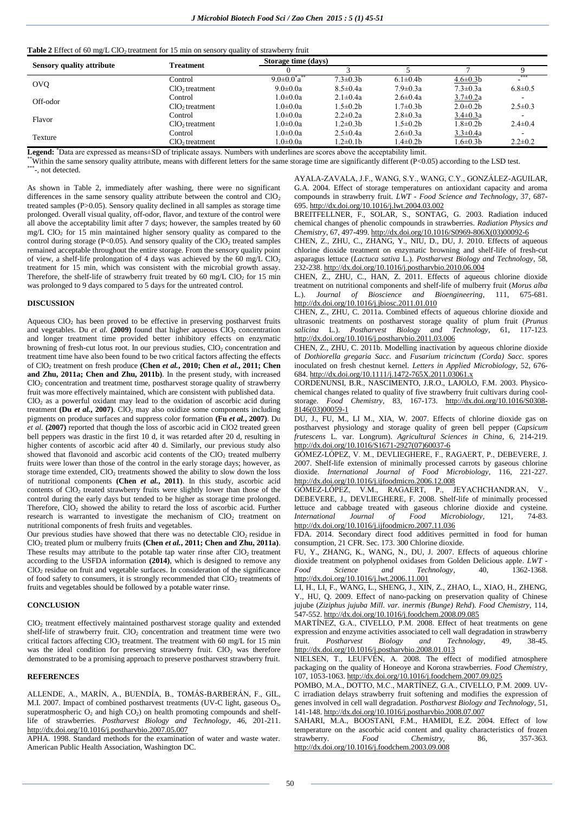### **Table 2** Effect of 60 mg/L ClO<sub>2</sub> treatment for 15 min on sensory quality of strawberry fruit

| <b>Sensory quality attribute</b> | <b>Treatment</b>           | Storage time (days)    |                 |                 |                 |               |
|----------------------------------|----------------------------|------------------------|-----------------|-----------------|-----------------|---------------|
|                                  |                            |                        |                 |                 |                 |               |
| <b>OVQ</b>                       | Control                    | $9.0 \pm 0.0^* a^{**}$ | $7.3 \pm 0.3 b$ | $6.1 \pm 0.4$   | $4.6 \pm 0.3 b$ | ***           |
|                                  | ClO <sub>2</sub> treatment | $9.0 \pm 0.0a$         | $8.5 \pm 0.4a$  | $7.9 \pm 0.3a$  | $7.3 \pm 0.3a$  | $6.8 \pm 0.5$ |
| Off-odor                         | Control                    | $1.0 \pm 0.0a$         | $2.1 \pm 0.4a$  | $2.6 \pm 0.4a$  | $3.7 \pm 0.2a$  |               |
|                                  | ClO <sub>2</sub> treatment | $1.0 \pm 0.0a$         | $.5 \pm 0.2 b$  | $1.7 \pm 0.3 b$ | $2.0 \pm 0.2$   | $2.5 \pm 0.3$ |
| Flavor                           | Control                    | $1.0 \pm 0.0a$         | $2.2 \pm 0.2a$  | $2.8 \pm 0.3a$  | $3.4 \pm 0.3a$  |               |
|                                  | $ClO2$ treatment           | $1.0 \pm 0.0a$         | $1.2 \pm 0.3 b$ | $1.5 \pm 0.2b$  | $1.8 \pm 0.2 b$ | $2.4 \pm 0.4$ |
| Texture                          | Control                    | $1.0 \pm 0.0a$         | $2.5 \pm 0.4a$  | $2.6 \pm 0.3a$  | $3.3 \pm 0.4a$  |               |
|                                  | $ClO2$ treatment           | $1.0 \pm 0.0a$         | $2\pm0.1b$      | $1.4 \pm 0.2 b$ | $1.6 \pm 0.3 b$ | $2.2 \pm 0.2$ |

**Legend:** \*Data are expressed as means±SD of triplicate assays. Numbers with underlines are scores above the acceptability limit.

\*\*Within the same sensory quality attribute, means with different letters for the same storage time are significantly different (P<0.05) according to the LSD test.

\*\*\*-, not detected.

As shown in Table 2, immediately after washing, there were no significant differences in the same sensory quality attribute between the control and  $ClO<sub>2</sub>$ treated samples (P>0.05). Sensory quality declined in all samples as storage time prolonged. Overall visual quality, off-odor, flavor, and texture of the control were all above the acceptability limit after 7 days; however, the samples treated by 60 mg/L  $ClO<sub>2</sub>$  for 15 min maintained higher sensory quality as compared to the control during storage (P<0.05). And sensory quality of the  $ClO<sub>2</sub>$  treated samples remained acceptable throughout the entire storage. From the sensory quality point of view, a shelf-life prolongation of 4 days was achieved by the 60 mg/L  $ClO<sub>2</sub>$ treatment for 15 min, which was consistent with the microbial growth assay. Therefore, the shelf-life of strawberry fruit treated by 60 mg/L ClO<sub>2</sub> for 15 min was prolonged to 9 days compared to 5 days for the untreated control.

### **DISCUSSION**

Aqueous ClO<sup>2</sup> has been proved to be effective in preserving postharvest fruits and vegetables. Du  $et$  al.  $(2009)$  found that higher aqueous  $ClO<sub>2</sub>$  concentration and longer treatment time provided better inhibitory effects on enzymatic browning of fresh-cut lotus root. In our previous studies, ClO<sub>2</sub> concentration and treatment time have also been found to be two critical factors affecting the effects of ClO<sup>2</sup> treatment on fresh produce **(Chen** *et al.***, 2010; Chen** *et al.***, 2011; Chen and Zhu, 2011a; Chen and Zhu, 2011b)**. In the present study, with increased ClO<sup>2</sup> concentration and treatment time, postharvest storage quality of strawberry fruit was more effectively maintained, which are consistent with published data.

 $ClO<sub>2</sub>$  as a powerful oxidant may lead to the oxidation of ascorbic acid during treatment **(Du** *et al.***, 2007**). ClO<sub>2</sub> may also oxidize some components including pigments on produce surfaces and suppress color formation **(Fu** *et al.***, 2007)**. Du *et al.* **(2007)** reported that though the loss of ascorbic acid in ClO2 treated green bell peppers was drastic in the first 10 d, it was retarded after 20 d, resulting in higher contents of ascorbic acid after 40 d. Similarly, our previous study also showed that flavonoid and ascorbic acid contents of the  $ClO<sub>2</sub>$  treated mulberry fruits were lower than those of the control in the early storage days; however, as storage time extended,  $ClO<sub>2</sub>$  treatments showed the ability to slow down the loss of nutritional components **(Chen** *et al.***, 2011)**. In this study, ascorbic acid contents of ClO<sub>2</sub> treated strawberry fruits were slightly lower than those of the control during the early days but tended to be higher as storage time prolonged. Therefore,  $ClO<sub>2</sub>$  showed the ability to retard the loss of ascorbic acid. Further research is warranted to investigate the mechanism of  $ClO<sub>2</sub>$  treatment on nutritional components of fresh fruits and vegetables.

Our previous studies have showed that there was no detectable  $CIO<sub>2</sub>$  residue in ClO<sup>2</sup> treated plum or mulberry fruits **(Chen** *et al.***, 2011; Chen and Zhu, 2011a)**. These results may attribute to the potable tap water rinse after  $ClO<sub>2</sub>$  treatment according to the USFDA information **(2014)**, which is designed to remove any  $ClO<sub>2</sub>$  residue on fruit and vegetable surfaces. In consideration of the significance of food safety to consumers, it is strongly recommended that ClO<sub>2</sub> treatments of fruits and vegetables should be followed by a potable water rinse.

### **CONCLUSION**

ClO<sup>2</sup> treatment effectively maintained postharvest storage quality and extended shelf-life of strawberry fruit. ClO<sub>2</sub> concentration and treatment time were two critical factors affecting  $ClO<sub>2</sub>$  treatment. The treatment with 60 mg/L for 15 min was the ideal condition for preserving strawberry fruit.  $ClO<sub>2</sub>$  was therefore demonstrated to be a promising approach to preserve postharvest strawberry fruit.

#### **REFERENCES**

ALLENDE, A., MARÍN, A., BUENDÍA, B., TOMÁS-BARBERÁN, F., GIL, M.I. 2007. Impact of combined postharvest treatments (UV-C light, gaseous O<sub>3</sub>, superatmospheric  $O_2$  and high  $CO_2$ ) on health promoting compounds and shelflife of strawberries. *Postharvest Biology and Technology*, 46, 201-211. <http://dx.doi.org/10.1016/j.postharvbio.2007.05.007>

APHA. 1998. Standard methods for the examination of water and waste water. American Public Health Association, Washington DC.

AYALA-ZAVALA, J.F., WANG, S.Y., WANG, C.Y., GONZÁLEZ-AGUILAR, G.A. 2004. Effect of storage temperatures on antioxidant capacity and aroma compounds in strawberry fruit. *LWT - Food Science and Technology*, 37, 687- 695. <http://dx.doi.org/10.1016/j.lwt.2004.03.002>

BREITFELLNER, F., SOLAR, S., SONTAG, G. 2003. Radiation induced chemical changes of phenolic compounds in strawberries. *Radiation Physics and Chemistry*, 67, 497-499. [http://dx.doi.org/10.1016/S0969-806X\(03\)00092-6](http://dx.doi.org/10.1016/S0969-806X(03)00092-6)

CHEN, Z., ZHU, C., ZHANG, Y., NIU, D., DU, J. 2010. Effects of aqueous chlorine dioxide treatment on enzymatic browning and shelf-life of fresh-cut asparagus lettuce (*Lactuca sativa* L.). *Postharvest Biology and Technology*, 58, 232-238. <http://dx.doi.org/10.1016/j.postharvbio.2010.06.004>

CHEN, Z., ZHU, C., HAN, Z. 2011. Effects of aqueous chlorine dioxide treatment on nutritional components and shelf-life of mulberry fruit (*Morus alba* L.). *Journal of Bioscience and Bioengineering*, 111, 675-681. <http://dx.doi.org/10.1016/j.jbiosc.2011.01.010>

CHEN, Z., ZHU, C. 2011a. Combined effects of aqueous chlorine dioxide and ultrasonic treatments on postharvest storage quality of plum fruit (*Prunus salicina* L.). *Postharvest Biology and Technology*, 61, 117-123. <http://dx.doi.org/10.1016/j.postharvbio.2011.03.006>

CHEN, Z., ZHU, C. 2011b. Modelling inactivation by aqueous chlorine dioxide of *Dothiorella gregaria Sacc.* and *Fusarium tricinctum (Corda) Sacc.* spores inoculated on fresh chestnut kernel. *Letters in Applied Microbiology*, 52, 676- 684. <http://dx.doi.org/10.1111/j.1472-765X.2011.03061.x>

CORDENUNSI, B.R., NASCIMENTO, J.R.O., LAJOLO, F.M. 2003. Physicochemical changes related to quality of five strawberry fruit cultivars during coolstorage. *Food Chemistry*, 83, 167-173. [http://dx.doi.org/10.1016/S0308-](http://dx.doi.org/10.1016/S0308-8146(03)00059-1) [8146\(03\)00059-1](http://dx.doi.org/10.1016/S0308-8146(03)00059-1)

DU, J., FU, M., LI M., XIA, W. 2007. Effects of chlorine dioxide gas on postharvest physiology and storage quality of green bell pepper (*Capsicum frutescens* L. var. Longrum). *Agricultural Sciences in China*, 6, 214-219. [http://dx.doi.org/10.1016/S1671-2927\(07\)60037-6](http://dx.doi.org/10.1016/S1671-2927(07)60037-6)

GÓMEZ-LÓPEZ, V. M., DEVLIEGHERE, F., RAGAERT, P., DEBEVERE, J. 2007. Shelf-life extension of minimally processed carrots by gaseous chlorine dioxide. *International Journal of Food Microbiology*, 116, 221-227. <http://dx.doi.org/10.1016/j.ijfoodmicro.2006.12.008>

GÓMEZ-LÓPEZ, V.M., RAGAERT, P., JEYACHCHANDRAN, V., DEBEVERE, J., DEVLIEGHERE, F. 2008. Shelf-life of minimally processed lettuce and cabbage treated with gaseous chlorine dioxide and cysteine. *International Journal of Food Microbiology*, 121, 74-83. <http://dx.doi.org/10.1016/j.ijfoodmicro.2007.11.036>

FDA. 2014. Secondary direct food additives permitted in food for human consumption, 21 CFR. Sec. 173. 300 Chlorine dioxide.

FU, Y., ZHANG, K., WANG, N., DU, J. 2007. Effects of aqueous chlorine dioxide treatment on polyphenol oxidases from Golden Delicious apple. *LWT -* Food Science and Technology, 40, 1362-1368. <http://dx.doi.org/10.1016/j.lwt.2006.11.001>

LI, H., LI, F., WANG, L., SHENG, J., XIN, Z., ZHAO, L., XIAO, H., ZHENG, Y., HU, Q. 2009. Effect of nano-packing on preservation quality of Chinese jujube (*Ziziphus jujuba Mill. var. inermis (Bunge) Rehd*). *Food Chemistry*, 114, 547-552. <http://dx.doi.org/10.1016/j.foodchem.2008.09.085>

MARTÍNEZ, G.A., CIVELLO, P.M. 2008. Effect of heat treatments on gene expression and enzyme activities associated to cell wall degradation in strawberry fruit. *Postharvest Biology and Technology*, 49, 38-45. <http://dx.doi.org/10.1016/j.postharvbio.2008.01.013>

NIELSEN, T., LEUFVÉN, A. 2008. The effect of modified atmosphere packaging on the quality of Honeoye and Korona strawberries. *Food Chemistry*, 107, 1053-1063. <http://dx.doi.org/10.1016/j.foodchem.2007.09.025>

POMBO, M.A., DOTTO, M.C., MARTÍNEZ, G.A., CIVELLO, P.M. 2009. UV-C irradiation delays strawberry fruit softening and modifies the expression of genes involved in cell wall degradation. *Postharvest Biology and Technology*, 51, 141-148. <http://dx.doi.org/10.1016/j.postharvbio.2008.07.007>

SAHARI, M.A., BOOSTANI, F.M., HAMIDI, E.Z. 2004. Effect of low temperature on the ascorbic acid content and quality characteristics of frozen strawberry. *Food Chemistry*, 86, 357-363. <http://dx.doi.org/10.1016/j.foodchem.2003.09.008>